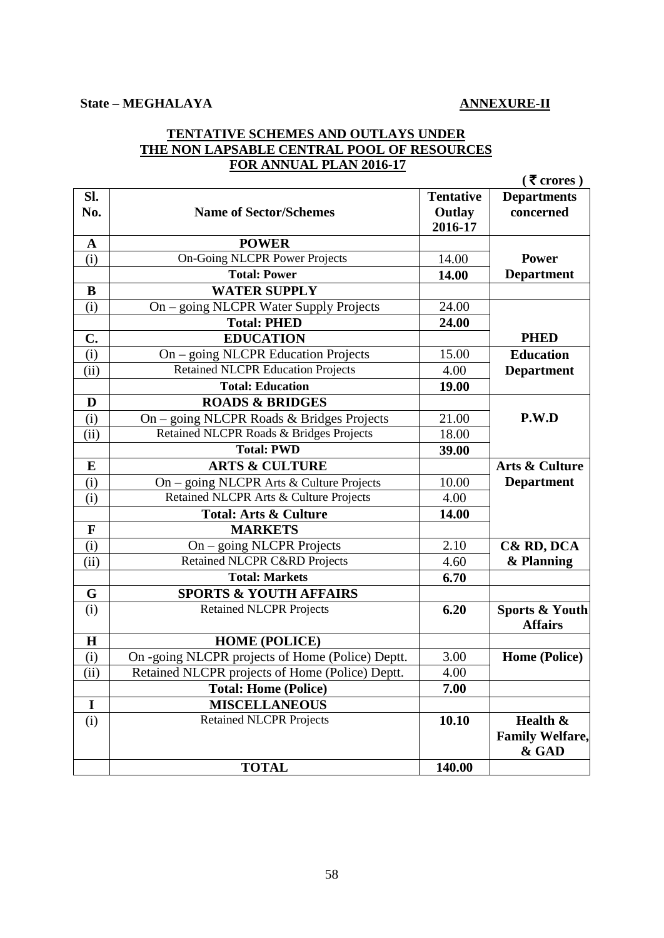## **State – MEGHALAYA ANNEXURE-II**

## **TENTATIVE SCHEMES AND OUTLAYS UNDER THE NON LAPSABLE CENTRAL POOL OF RESOURCES FOR ANNUAL PLAN 2016-17**

|                            |                                                  |                                       | $(5$ crores)                                |
|----------------------------|--------------------------------------------------|---------------------------------------|---------------------------------------------|
| SI.<br>No.                 | <b>Name of Sector/Schemes</b>                    | <b>Tentative</b><br>Outlay<br>2016-17 | <b>Departments</b><br>concerned             |
| $\mathbf A$                | <b>POWER</b>                                     |                                       |                                             |
| (i)                        | <b>On-Going NLCPR Power Projects</b>             | 14.00                                 | <b>Power</b>                                |
|                            | <b>Total: Power</b>                              | 14.00                                 | <b>Department</b>                           |
| $\bf{B}$                   | <b>WATER SUPPLY</b>                              |                                       |                                             |
| (i)                        | On - going NLCPR Water Supply Projects           | 24.00                                 |                                             |
|                            | <b>Total: PHED</b>                               | 24.00                                 |                                             |
| $\mathbf{C}$ .             | <b>EDUCATION</b>                                 |                                       | <b>PHED</b>                                 |
| (i)                        | On - going NLCPR Education Projects              | 15.00                                 | <b>Education</b>                            |
| $\overline{(\mathrm{ii})}$ | <b>Retained NLCPR Education Projects</b>         | 4.00                                  | <b>Department</b>                           |
|                            | <b>Total: Education</b>                          | 19.00                                 |                                             |
| D                          | <b>ROADS &amp; BRIDGES</b>                       |                                       |                                             |
| (i)                        | On – going NLCPR Roads & Bridges Projects        | 21.00                                 | P.W.D                                       |
| (ii)                       | Retained NLCPR Roads & Bridges Projects          | 18.00                                 |                                             |
|                            | <b>Total: PWD</b>                                | 39.00                                 |                                             |
| ${\bf E}$                  | <b>ARTS &amp; CULTURE</b>                        |                                       | Arts & Culture                              |
| (i)                        | On - going NLCPR Arts & Culture Projects         | 10.00                                 | <b>Department</b>                           |
| (i)                        | Retained NLCPR Arts & Culture Projects           | 4.00                                  |                                             |
|                            | <b>Total: Arts &amp; Culture</b>                 | 14.00                                 |                                             |
| $\mathbf F$                | <b>MARKETS</b>                                   |                                       |                                             |
| (i)                        | On – going NLCPR Projects                        | 2.10                                  | C& RD, DCA                                  |
| (ii)                       | <b>Retained NLCPR C&amp;RD Projects</b>          | 4.60                                  | & Planning                                  |
|                            | <b>Total: Markets</b>                            | 6.70                                  |                                             |
| G                          | <b>SPORTS &amp; YOUTH AFFAIRS</b>                |                                       |                                             |
| (i)                        | <b>Retained NLCPR Projects</b>                   | 6.20                                  | <b>Sports &amp; Youth</b><br><b>Affairs</b> |
| $\mathbf H$                | <b>HOME (POLICE)</b>                             |                                       |                                             |
| (i)                        | On -going NLCPR projects of Home (Police) Deptt. | 3.00                                  | Home (Police)                               |
| (iii)                      | Retained NLCPR projects of Home (Police) Deptt.  | 4.00                                  |                                             |
|                            | <b>Total: Home (Police)</b>                      | 7.00                                  |                                             |
| $\bf{I}$                   | <b>MISCELLANEOUS</b>                             |                                       |                                             |
| (i)                        | <b>Retained NLCPR Projects</b>                   | 10.10                                 | Health &<br><b>Family Welfare,</b><br>& GAD |
|                            | <b>TOTAL</b>                                     | 140.00                                |                                             |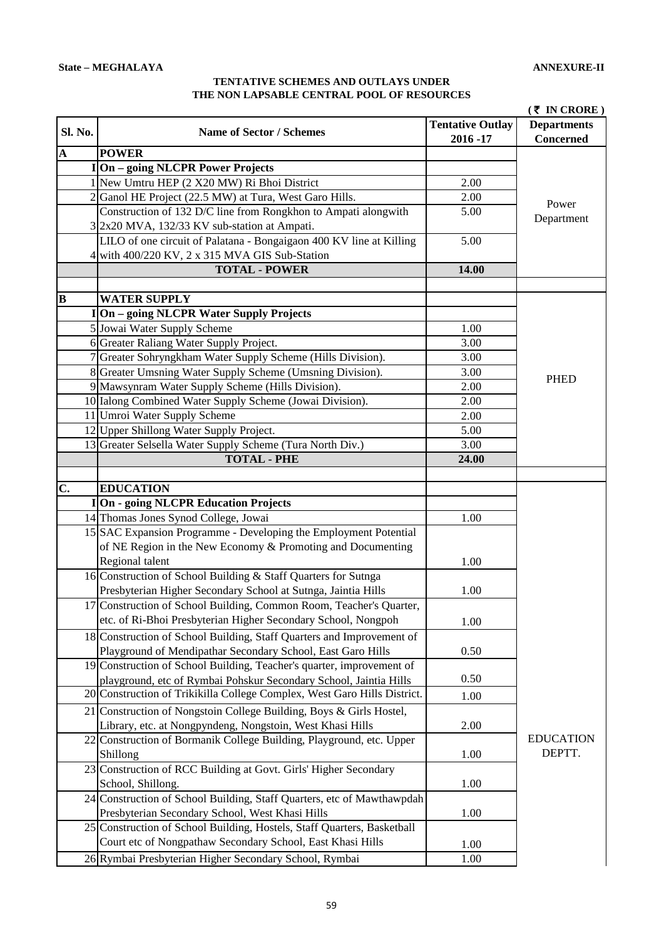## **TENTATIVE SCHEMES AND OUTLAYS UNDER THE NON LAPSABLE CENTRAL POOL OF RESOURCES**

|                         |                                                                                                      |                         | $(5 \t{N} \t{CRORE})$ |
|-------------------------|------------------------------------------------------------------------------------------------------|-------------------------|-----------------------|
| Sl. No.                 | <b>Name of Sector / Schemes</b>                                                                      | <b>Tentative Outlay</b> | <b>Departments</b>    |
|                         |                                                                                                      | 2016-17                 | <b>Concerned</b>      |
| $\overline{\mathbf{A}}$ | <b>POWER</b>                                                                                         |                         |                       |
|                         | I On - going NLCPR Power Projects                                                                    |                         |                       |
|                         | 1 New Umtru HEP (2 X20 MW) Ri Bhoi District                                                          | 2.00                    |                       |
|                         | 2 Ganol HE Project (22.5 MW) at Tura, West Garo Hills.                                               | 2.00                    | Power                 |
|                         | Construction of 132 D/C line from Rongkhon to Ampati alongwith                                       | 5.00                    | Department            |
|                         | 3 2x20 MVA, 132/33 KV sub-station at Ampati.                                                         |                         |                       |
|                         | LILO of one circuit of Palatana - Bongaigaon 400 KV line at Killing                                  | 5.00                    |                       |
|                         | 4 with 400/220 KV, 2 x 315 MVA GIS Sub-Station                                                       |                         |                       |
|                         | <b>TOTAL - POWER</b>                                                                                 | 14.00                   |                       |
| $\overline{\mathbf{B}}$ | <b>WATER SUPPLY</b>                                                                                  |                         |                       |
|                         |                                                                                                      |                         |                       |
|                         | I On - going NLCPR Water Supply Projects                                                             |                         |                       |
|                         | 5 Jowai Water Supply Scheme                                                                          | 1.00                    |                       |
|                         | 6 Greater Raliang Water Supply Project.                                                              | 3.00                    |                       |
|                         | 7 Greater Sohryngkham Water Supply Scheme (Hills Division).                                          | 3.00                    |                       |
|                         | 8 Greater Umsning Water Supply Scheme (Umsning Division).                                            | 3.00                    | <b>PHED</b>           |
|                         | 9 Mawsynram Water Supply Scheme (Hills Division).                                                    | 2.00                    |                       |
|                         | 10 Ialong Combined Water Supply Scheme (Jowai Division).                                             | 2.00                    |                       |
|                         | 11 Umroi Water Supply Scheme                                                                         | 2.00                    |                       |
|                         | 12 Upper Shillong Water Supply Project.<br>13 Greater Selsella Water Supply Scheme (Tura North Div.) | 5.00                    |                       |
|                         | <b>TOTAL - PHE</b>                                                                                   | 3.00<br>24.00           |                       |
|                         |                                                                                                      |                         |                       |
| $\overline{C}$ .        | <b>EDUCATION</b>                                                                                     |                         |                       |
|                         | I On - going NLCPR Education Projects                                                                |                         |                       |
|                         | 14 Thomas Jones Synod College, Jowai                                                                 | 1.00                    |                       |
|                         | 15 SAC Expansion Programme - Developing the Employment Potential                                     |                         |                       |
|                         | of NE Region in the New Economy & Promoting and Documenting                                          |                         |                       |
|                         | Regional talent                                                                                      | 1.00                    |                       |
|                         | 16 Construction of School Building & Staff Quarters for Sutnga                                       |                         |                       |
|                         | Presbyterian Higher Secondary School at Sutnga, Jaintia Hills                                        | 1.00                    |                       |
|                         | 17 Construction of School Building, Common Room, Teacher's Quarter,                                  |                         |                       |
|                         | etc. of Ri-Bhoi Presbyterian Higher Secondary School, Nongpoh                                        | 1.00                    |                       |
|                         | 18 Construction of School Building, Staff Quarters and Improvement of                                |                         |                       |
|                         | Playground of Mendipathar Secondary School, East Garo Hills                                          | 0.50                    |                       |
|                         | 19 Construction of School Building, Teacher's quarter, improvement of                                |                         |                       |
|                         | playground, etc of Rymbai Pohskur Secondary School, Jaintia Hills                                    | 0.50                    |                       |
|                         | 20 Construction of Trikikilla College Complex, West Garo Hills District.                             | 1.00                    |                       |
|                         | 21 Construction of Nongstoin College Building, Boys & Girls Hostel,                                  |                         |                       |
|                         | Library, etc. at Nongpyndeng, Nongstoin, West Khasi Hills                                            | 2.00                    |                       |
|                         | 22 Construction of Bormanik College Building, Playground, etc. Upper                                 |                         | <b>EDUCATION</b>      |
|                         | Shillong                                                                                             | 1.00                    | DEPTT.                |
|                         | 23 Construction of RCC Building at Govt. Girls' Higher Secondary                                     |                         |                       |
|                         | School, Shillong.                                                                                    | 1.00                    |                       |
|                         | 24 Construction of School Building, Staff Quarters, etc of Mawthawpdah                               |                         |                       |
|                         | Presbyterian Secondary School, West Khasi Hills                                                      | 1.00                    |                       |
|                         | 25 Construction of School Building, Hostels, Staff Quarters, Basketball                              |                         |                       |
|                         | Court etc of Nongpathaw Secondary School, East Khasi Hills                                           |                         |                       |
|                         | 26 Rymbai Presbyterian Higher Secondary School, Rymbai                                               | 1.00<br>1.00            |                       |
|                         |                                                                                                      |                         |                       |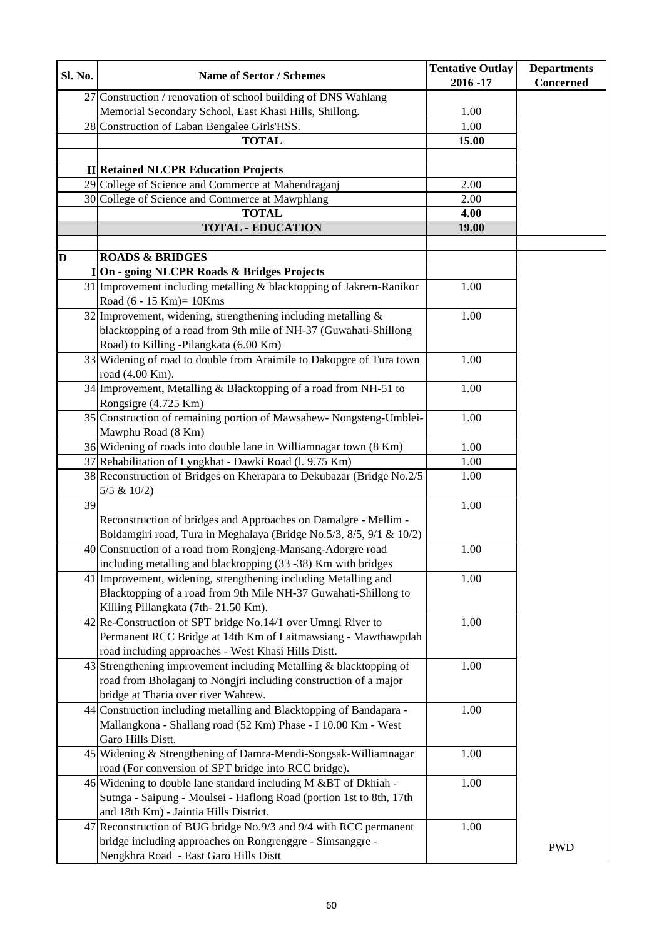| Sl. No. | <b>Name of Sector / Schemes</b>                                                                                                         | <b>Tentative Outlay</b> | <b>Departments</b> |
|---------|-----------------------------------------------------------------------------------------------------------------------------------------|-------------------------|--------------------|
|         |                                                                                                                                         | 2016 - 17               | <b>Concerned</b>   |
|         | 27 Construction / renovation of school building of DNS Wahlang                                                                          |                         |                    |
|         | Memorial Secondary School, East Khasi Hills, Shillong.                                                                                  | 1.00                    |                    |
|         | 28 Construction of Laban Bengalee Girls'HSS.                                                                                            | 1.00                    |                    |
|         | <b>TOTAL</b>                                                                                                                            | 15.00                   |                    |
|         |                                                                                                                                         |                         |                    |
|         | <b>II</b> Retained NLCPR Education Projects                                                                                             |                         |                    |
|         | 29 College of Science and Commerce at Mahendraganj                                                                                      | 2.00                    |                    |
|         | 30 College of Science and Commerce at Mawphlang                                                                                         | 2.00                    |                    |
|         | <b>TOTAL</b>                                                                                                                            | 4.00                    |                    |
|         | <b>TOTAL - EDUCATION</b>                                                                                                                | 19.00                   |                    |
| D       | <b>ROADS &amp; BRIDGES</b>                                                                                                              |                         |                    |
|         | On - going NLCPR Roads & Bridges Projects                                                                                               |                         |                    |
|         | 31 Improvement including metalling & blacktopping of Jakrem-Ranikor                                                                     | 1.00                    |                    |
|         | Road (6 - 15 Km)= 10Kms                                                                                                                 |                         |                    |
|         | 32 Improvement, widening, strengthening including metalling $\&$                                                                        | 1.00                    |                    |
|         | blacktopping of a road from 9th mile of NH-37 (Guwahati-Shillong                                                                        |                         |                    |
|         | Road) to Killing -Pilangkata (6.00 Km)                                                                                                  |                         |                    |
|         | 33 Widening of road to double from Araimile to Dakopgre of Tura town                                                                    | 1.00                    |                    |
|         | road (4.00 Km).                                                                                                                         |                         |                    |
|         | 34 Improvement, Metalling & Blacktopping of a road from NH-51 to                                                                        | 1.00                    |                    |
|         | Rongsigre (4.725 Km)                                                                                                                    |                         |                    |
|         | 35 Construction of remaining portion of Mawsahew-Nongsteng-Umblei-                                                                      | 1.00                    |                    |
|         | Mawphu Road (8 Km)                                                                                                                      |                         |                    |
|         | 36 Widening of roads into double lane in Williamnagar town (8 Km)                                                                       | 1.00                    |                    |
|         | 37 Rehabilitation of Lyngkhat - Dawki Road (l. 9.75 Km)                                                                                 | 1.00                    |                    |
|         | 38 Reconstruction of Bridges on Kherapara to Dekubazar (Bridge No.2/5                                                                   | 1.00                    |                    |
|         | 5/5 & 10/2                                                                                                                              |                         |                    |
| 39      |                                                                                                                                         | 1.00                    |                    |
|         | Reconstruction of bridges and Approaches on Damalgre - Mellim -                                                                         |                         |                    |
|         | Boldamgiri road, Tura in Meghalaya (Bridge No.5/3, 8/5, 9/1 & 10/2)                                                                     |                         |                    |
|         | 40 Construction of a road from Rongjeng-Mansang-Adorgre road                                                                            | 1.00                    |                    |
|         | including metalling and blacktopping (33 -38) Km with bridges                                                                           |                         |                    |
|         | 41 Improvement, widening, strengthening including Metalling and                                                                         | 1.00                    |                    |
|         | Blacktopping of a road from 9th Mile NH-37 Guwahati-Shillong to                                                                         |                         |                    |
|         | Killing Pillangkata (7th-21.50 Km).                                                                                                     |                         |                    |
|         | $42$ Re-Construction of SPT bridge No.14/1 over Umngi River to                                                                          | 1.00                    |                    |
|         | Permanent RCC Bridge at 14th Km of Laitmawsiang - Mawthawpdah                                                                           |                         |                    |
|         | road including approaches - West Khasi Hills Distt.                                                                                     |                         |                    |
|         | 43 Strengthening improvement including Metalling $\&$ blacktopping of                                                                   | 1.00                    |                    |
|         | road from Bholaganj to Nongjri including construction of a major                                                                        |                         |                    |
|         | bridge at Tharia over river Wahrew.                                                                                                     |                         |                    |
|         | 44 Construction including metalling and Blacktopping of Bandapara -                                                                     | 1.00                    |                    |
|         | Mallangkona - Shallang road (52 Km) Phase - I 10.00 Km - West                                                                           |                         |                    |
|         | Garo Hills Distt.                                                                                                                       |                         |                    |
|         | 45 Widening & Strengthening of Damra-Mendi-Songsak-Williamnagar<br>road (For conversion of SPT bridge into RCC bridge).                 | 1.00                    |                    |
|         |                                                                                                                                         |                         |                    |
|         | 46 Widening to double lane standard including M & BT of Dkhiah -<br>Sutnga - Saipung - Moulsei - Haflong Road (portion 1st to 8th, 17th | 1.00                    |                    |
|         | and 18th Km) - Jaintia Hills District.                                                                                                  |                         |                    |
|         | 47 Reconstruction of BUG bridge No.9/3 and 9/4 with RCC permanent                                                                       | 1.00                    |                    |
|         | bridge including approaches on Rongrenggre - Simsanggre -                                                                               |                         |                    |
|         | Nengkhra Road - East Garo Hills Distt                                                                                                   |                         | <b>PWD</b>         |
|         |                                                                                                                                         |                         |                    |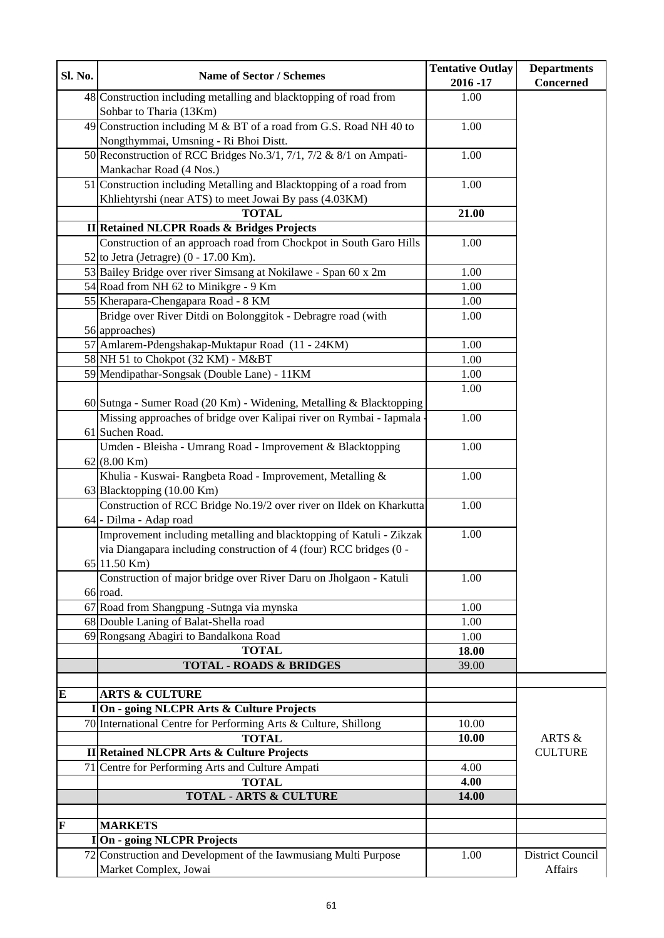| Sl. No.                 | <b>Name of Sector / Schemes</b>                                      | <b>Tentative Outlay</b><br>$2016 - 17$ | <b>Departments</b><br>Concerned |
|-------------------------|----------------------------------------------------------------------|----------------------------------------|---------------------------------|
|                         | 48 Construction including metalling and blacktopping of road from    | 1.00                                   |                                 |
|                         | Sohbar to Tharia (13Km)                                              |                                        |                                 |
|                         | 49 Construction including M $&$ BT of a road from G.S. Road NH 40 to | 1.00                                   |                                 |
|                         | Nongthymmai, Umsning - Ri Bhoi Distt.                                |                                        |                                 |
|                         | 50 Reconstruction of RCC Bridges No.3/1, 7/1, 7/2 & 8/1 on Ampati-   | 1.00                                   |                                 |
|                         | Mankachar Road (4 Nos.)                                              |                                        |                                 |
|                         | 51 Construction including Metalling and Blacktopping of a road from  | 1.00                                   |                                 |
|                         | Khliehtyrshi (near ATS) to meet Jowai By pass (4.03KM)               |                                        |                                 |
|                         | <b>TOTAL</b>                                                         | 21.00                                  |                                 |
|                         | <b>II</b> Retained NLCPR Roads & Bridges Projects                    |                                        |                                 |
|                         | Construction of an approach road from Chockpot in South Garo Hills   | 1.00                                   |                                 |
|                         | 52 to Jetra (Jetragre) $(0 - 17.00 \text{ Km})$ .                    |                                        |                                 |
|                         | 53 Bailey Bridge over river Simsang at Nokilawe - Span 60 x 2m       | 1.00                                   |                                 |
|                         | 54 Road from NH 62 to Minikgre - 9 Km                                | 1.00                                   |                                 |
|                         | 55 Kherapara-Chengapara Road - 8 KM                                  | 1.00                                   |                                 |
|                         | Bridge over River Ditdi on Bolonggitok - Debragre road (with         | 1.00                                   |                                 |
|                         | 56 approaches)                                                       |                                        |                                 |
|                         | 57 Amlarem-Pdengshakap-Muktapur Road (11 - 24KM)                     | 1.00                                   |                                 |
|                         | 58 NH 51 to Chokpot (32 KM) - M&BT                                   | 1.00                                   |                                 |
|                         | 59 Mendipathar-Songsak (Double Lane) - 11KM                          | 1.00                                   |                                 |
|                         |                                                                      | 1.00                                   |                                 |
|                         | 60 Sutnga - Sumer Road (20 Km) - Widening, Metalling & Blacktopping  |                                        |                                 |
|                         | Missing approaches of bridge over Kalipai river on Rymbai - Iapmala  | 1.00                                   |                                 |
|                         | 61 Suchen Road.                                                      |                                        |                                 |
|                         | Umden - Bleisha - Umrang Road - Improvement & Blacktopping           | 1.00                                   |                                 |
|                         | $62(8.00 \text{ Km})$                                                |                                        |                                 |
|                         | Khulia - Kuswai- Rangbeta Road - Improvement, Metalling &            | 1.00                                   |                                 |
|                         | 63 Blacktopping (10.00 Km)                                           |                                        |                                 |
|                         | Construction of RCC Bridge No.19/2 over river on Ildek on Kharkutta  | 1.00                                   |                                 |
|                         | 64 - Dilma - Adap road                                               |                                        |                                 |
|                         | Improvement including metalling and blacktopping of Katuli - Zikzak  | 1.00                                   |                                 |
|                         | via Diangapara including construction of 4 (four) RCC bridges (0 -   |                                        |                                 |
|                         | 65 11.50 Km)                                                         |                                        |                                 |
|                         | Construction of major bridge over River Daru on Jholgaon - Katuli    | 1.00                                   |                                 |
|                         | 66 road.                                                             |                                        |                                 |
|                         | 67 Road from Shangpung -Sutnga via mynska                            | 1.00                                   |                                 |
|                         | 68 Double Laning of Balat-Shella road                                | 1.00                                   |                                 |
|                         | 69 Rongsang Abagiri to Bandalkona Road                               | 1.00                                   |                                 |
|                         | <b>TOTAL</b>                                                         | 18.00                                  |                                 |
|                         | <b>TOTAL - ROADS &amp; BRIDGES</b>                                   | 39.00                                  |                                 |
|                         |                                                                      |                                        |                                 |
| $\bf{E}$                | <b>ARTS &amp; CULTURE</b>                                            |                                        |                                 |
|                         | I On - going NLCPR Arts & Culture Projects                           |                                        |                                 |
|                         | 70 International Centre for Performing Arts & Culture, Shillong      | 10.00                                  |                                 |
|                         | <b>TOTAL</b>                                                         | 10.00                                  | ARTS &                          |
|                         | <b>II</b> Retained NLCPR Arts & Culture Projects                     |                                        | <b>CULTURE</b>                  |
|                         | 71 Centre for Performing Arts and Culture Ampati                     | 4.00                                   |                                 |
|                         | <b>TOTAL</b>                                                         | 4.00                                   |                                 |
|                         | <b>TOTAL - ARTS &amp; CULTURE</b>                                    | 14.00                                  |                                 |
| $\overline{\mathbf{F}}$ |                                                                      |                                        |                                 |
|                         | <b>MARKETS</b>                                                       |                                        |                                 |
|                         | I On - going NLCPR Projects                                          |                                        |                                 |
|                         | 72 Construction and Development of the Iawmusiang Multi Purpose      | 1.00                                   | District Council                |
|                         | Market Complex, Jowai                                                |                                        | Affairs                         |